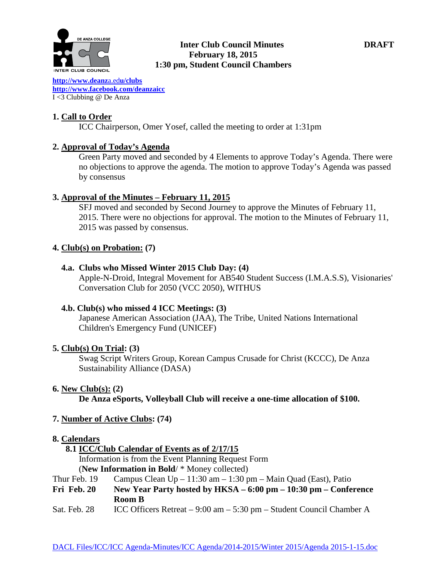

# **Inter Club Council Minutes DRAFT February 18, 2015 1:30 pm, Student Council Chambers**

**[http://www.deanz](http://www.deanza.edu/clubs)**a.ed**u/clubs [http://www.facebook.com/deanzaicc](http://www.facebook.com/home.php%23!/group.php?gid=59034552686)** I <3 Clubbing @ De Anza

# **1. Call to Order**

ICC Chairperson, Omer Yosef, called the meeting to order at 1:31pm

# **2. Approval of Today's Agenda**

Green Party moved and seconded by 4 Elements to approve Today's Agenda. There were no objections to approve the agenda. The motion to approve Today's Agenda was passed by consensus

# **3. Approval of the Minutes – February 11, 2015**

SFJ moved and seconded by Second Journey to approve the Minutes of February 11, 2015. There were no objections for approval. The motion to the Minutes of February 11, 2015 was passed by consensus.

#### **4. Club(s) on Probation: (7)**

#### **4.a. Clubs who Missed Winter 2015 Club Day: (4)**

Apple-N-Droid, Integral Movement for AB540 Student Success (I.M.A.S.S), Visionaries' Conversation Club for 2050 (VCC 2050), WITHUS

#### **4.b. Club(s) who missed 4 ICC Meetings: (3)**

Japanese American Association (JAA), The Tribe, United Nations International Children's Emergency Fund (UNICEF)

#### **5. Club(s) On Trial: (3)**

Swag Script Writers Group, Korean Campus Crusade for Christ (KCCC), De Anza Sustainability Alliance (DASA)

#### **6. New Club(s): (2)**

**De Anza eSports, Volleyball Club will receive a one-time allocation of \$100.**

# **7. Number of Active Clubs: (74)**

#### **8. Calendars**

#### **8.1 ICC/Club Calendar of Events as of 2/17/15**

 Information is from the Event Planning Request Form (**New Information in Bold**/ \* Money collected)

Thur Feb. 19 Campus Clean  $Up - 11:30$  am  $- 1:30$  pm  $-$  Main Quad (East), Patio

- **Fri Feb. 20 New Year Party hosted by HKSA – 6:00 pm – 10:30 pm – Conference Room B**
- Sat. Feb. 28 ICC Officers Retreat 9:00 am 5:30 pm Student Council Chamber A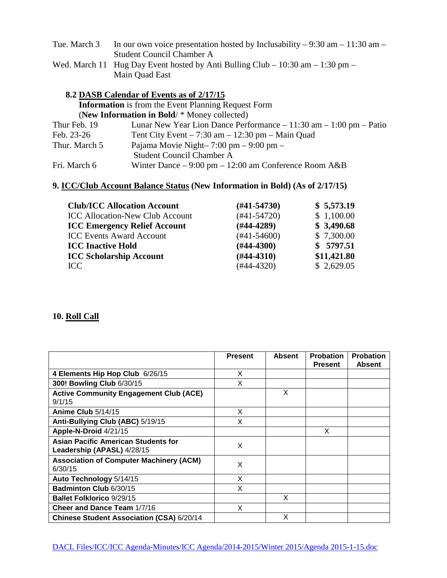| Tue. March 3 | In our own voice presentation hosted by Inclusability – 9:30 am – 11:30 am –   |
|--------------|--------------------------------------------------------------------------------|
|              | Student Council Chamber A                                                      |
|              | Wed. March 11 Hug Day Event hosted by Anti Bulling Club – 10:30 am – 1:30 pm – |

# **8.2 DASB Calendar of Events as of 2/17/15 Information** is from the Event Planning Request Form (**New Information in Bold**/ \* Money collected) Thur Feb. 19 Lunar New Year Lion Dance Performance – 11:30 am – 1:00 pm – Patio<br>Feb. 23-26 Tent City Event – 7:30 am – 12:30 pm – Main Ouad Tent City Event – 7:30 am – 12:30 pm – Main Quad Thur. March 5 Pajama Movie Night–  $7:00 \text{ pm} - 9:00 \text{ pm} -$  Student Council Chamber A Fri. March 6 Winter Dance – 9:00 pm – 12:00 am Conference Room A&B

#### **9. ICC/Club Account Balance Status (New Information in Bold) (As of 2/17/15)**

Main Quad East

| <b>Club/ICC Allocation Account</b>     | $(H41-54730)$ | \$5,573.19  |
|----------------------------------------|---------------|-------------|
| <b>ICC Allocation-New Club Account</b> | $(#41-54720)$ | \$1,100.00  |
| <b>ICC Emergency Relief Account</b>    | $(H44-4289)$  | \$3,490.68  |
| <b>ICC Events Award Account</b>        | $(#41-54600)$ | \$7,300.00  |
| <b>ICC Inactive Hold</b>               | $(H44-4300)$  | \$5797.51   |
| <b>ICC Scholarship Account</b>         | $(H44-4310)$  | \$11,421.80 |
| TCC                                    | $(#44-4320)$  | \$2,629.05  |

#### **10. Roll Call**

|                                                                          | <b>Present</b> | <b>Absent</b> | <b>Probation</b><br><b>Present</b> | <b>Probation</b><br><b>Absent</b> |
|--------------------------------------------------------------------------|----------------|---------------|------------------------------------|-----------------------------------|
| 4 Elements Hip Hop Club 6/26/15                                          | X              |               |                                    |                                   |
| 300! Bowling Club 6/30/15                                                | X              |               |                                    |                                   |
| <b>Active Community Engagement Club (ACE)</b><br>9/1/15                  |                | X             |                                    |                                   |
| Anime Club 5/14/15                                                       | X              |               |                                    |                                   |
| Anti-Bullying Club (ABC) 5/19/15                                         | x              |               |                                    |                                   |
| Apple-N-Droid 4/21/15                                                    |                |               | X                                  |                                   |
| <b>Asian Pacific American Students for</b><br>Leadership (APASL) 4/28/15 | X              |               |                                    |                                   |
| <b>Association of Computer Machinery (ACM)</b><br>6/30/15                | X              |               |                                    |                                   |
| Auto Technology 5/14/15                                                  | X              |               |                                    |                                   |
| Badminton Club 6/30/15                                                   | X              |               |                                    |                                   |
| <b>Ballet Folklorico 9/29/15</b>                                         |                | X             |                                    |                                   |
| <b>Cheer and Dance Team 1/7/16</b>                                       | X              |               |                                    |                                   |
| Chinese Student Association (CSA) 6/20/14                                |                | X             |                                    |                                   |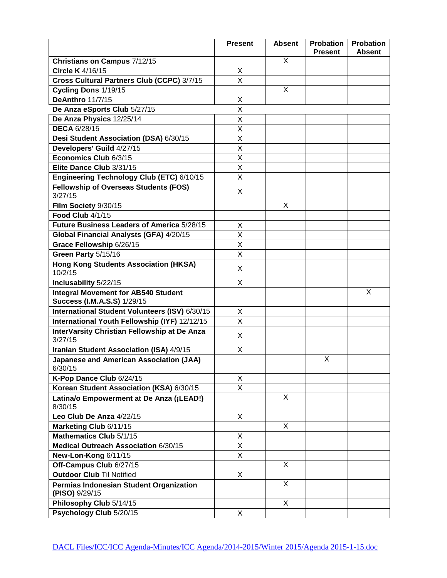|                                                                                  | <b>Present</b>          | <b>Absent</b>  | <b>Probation</b><br><b>Present</b> | <b>Probation</b><br><b>Absent</b> |
|----------------------------------------------------------------------------------|-------------------------|----------------|------------------------------------|-----------------------------------|
| Christians on Campus 7/12/15                                                     |                         | X              |                                    |                                   |
| <b>Circle K</b> 4/16/15                                                          | X                       |                |                                    |                                   |
| Cross Cultural Partners Club (CCPC) 3/7/15                                       | X                       |                |                                    |                                   |
| Cycling Dons 1/19/15                                                             |                         | X              |                                    |                                   |
| <b>DeAnthro 11/7/15</b>                                                          | X                       |                |                                    |                                   |
| De Anza eSports Club 5/27/15                                                     | X                       |                |                                    |                                   |
| De Anza Physics 12/25/14                                                         | X                       |                |                                    |                                   |
| <b>DECA 6/28/15</b>                                                              | X                       |                |                                    |                                   |
| Desi Student Association (DSA) 6/30/15                                           | X                       |                |                                    |                                   |
| Developers' Guild 4/27/15                                                        | X                       |                |                                    |                                   |
| Economics Club 6/3/15                                                            | X                       |                |                                    |                                   |
| Elite Dance Club 3/31/15                                                         | X                       |                |                                    |                                   |
| Engineering Technology Club (ETC) 6/10/15                                        | X                       |                |                                    |                                   |
| <b>Fellowship of Overseas Students (FOS)</b>                                     |                         |                |                                    |                                   |
| 3/27/15                                                                          | X                       |                |                                    |                                   |
| Film Society 9/30/15                                                             |                         | X              |                                    |                                   |
| Food Club 4/1/15                                                                 |                         |                |                                    |                                   |
| Future Business Leaders of America 5/28/15                                       | X                       |                |                                    |                                   |
| Global Financial Analysts (GFA) 4/20/15                                          | X                       |                |                                    |                                   |
| Grace Fellowship 6/26/15                                                         | X                       |                |                                    |                                   |
| Green Party 5/15/16                                                              | X                       |                |                                    |                                   |
| <b>Hong Kong Students Association (HKSA)</b><br>10/2/15                          | X                       |                |                                    |                                   |
| Inclusability 5/22/15                                                            | X                       |                |                                    |                                   |
| <b>Integral Movement for AB540 Student</b><br><b>Success (I.M.A.S.S) 1/29/15</b> |                         |                |                                    | X                                 |
| International Student Volunteers (ISV) 6/30/15                                   | X                       |                |                                    |                                   |
| International Youth Fellowship (IYF) 12/12/15                                    | X                       |                |                                    |                                   |
| InterVarsity Christian Fellowship at De Anza<br>3/27/15                          | X                       |                |                                    |                                   |
| Iranian Student Association (ISA) 4/9/15                                         | X                       |                |                                    |                                   |
| <b>Japanese and American Association (JAA)</b><br>6/30/15                        |                         |                | X                                  |                                   |
| K-Pop Dance Club 6/24/15                                                         | X                       |                |                                    |                                   |
| Korean Student Association (KSA) 6/30/15                                         | $\mathsf{X}$            |                |                                    |                                   |
| Latina/o Empowerment at De Anza (¡LEAD!)<br>8/30/15                              |                         | X              |                                    |                                   |
| Leo Club De Anza 4/22/15                                                         | X                       |                |                                    |                                   |
| Marketing Club 6/11/15                                                           |                         | X              |                                    |                                   |
| Mathematics Club 5/1/15                                                          | X                       |                |                                    |                                   |
| Medical Outreach Association 6/30/15                                             | $\overline{\mathsf{x}}$ |                |                                    |                                   |
| New-Lon-Kong 6/11/15                                                             | X                       |                |                                    |                                   |
| Off-Campus Club 6/27/15                                                          |                         | X              |                                    |                                   |
| <b>Outdoor Club Til Notified</b>                                                 | $\mathsf{X}$            |                |                                    |                                   |
| Permias Indonesian Student Organization<br>(PISO) 9/29/15                        |                         | $\overline{X}$ |                                    |                                   |
| Philosophy Club 5/14/15                                                          |                         | X              |                                    |                                   |
| Psychology Club 5/20/15                                                          | X                       |                |                                    |                                   |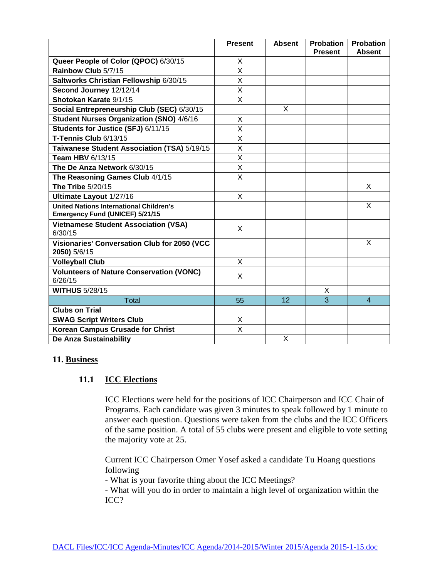|                                                                                          | <b>Present</b> | <b>Absent</b> | <b>Probation</b><br><b>Present</b> | <b>Probation</b><br><b>Absent</b> |
|------------------------------------------------------------------------------------------|----------------|---------------|------------------------------------|-----------------------------------|
| Queer People of Color (QPOC) 6/30/15                                                     | X              |               |                                    |                                   |
| Rainbow Club 5/7/15                                                                      | X              |               |                                    |                                   |
| Saltworks Christian Fellowship 6/30/15                                                   | X              |               |                                    |                                   |
| Second Journey 12/12/14                                                                  | X              |               |                                    |                                   |
| Shotokan Karate 9/1/15                                                                   | X              |               |                                    |                                   |
| Social Entrepreneurship Club (SEC) 6/30/15                                               |                | X             |                                    |                                   |
| <b>Student Nurses Organization (SNO) 4/6/16</b>                                          | X              |               |                                    |                                   |
| Students for Justice (SFJ) 6/11/15                                                       | X              |               |                                    |                                   |
| T-Tennis Club 6/13/15                                                                    | X              |               |                                    |                                   |
| Taiwanese Student Association (TSA) 5/19/15                                              | X              |               |                                    |                                   |
| <b>Team HBV 6/13/15</b>                                                                  | X              |               |                                    |                                   |
| The De Anza Network 6/30/15                                                              | X              |               |                                    |                                   |
| The Reasoning Games Club 4/1/15                                                          | X              |               |                                    |                                   |
| The Tribe 5/20/15                                                                        |                |               |                                    | X                                 |
| Ultimate Layout 1/27/16                                                                  | X              |               |                                    |                                   |
| <b>United Nations International Children's</b><br><b>Emergency Fund (UNICEF) 5/21/15</b> |                |               |                                    | X                                 |
| <b>Vietnamese Student Association (VSA)</b><br>6/30/15                                   | X              |               |                                    |                                   |
| <b>Visionaries' Conversation Club for 2050 (VCC</b><br>2050) 5/6/15                      |                |               |                                    | X                                 |
| <b>Volleyball Club</b>                                                                   | X              |               |                                    |                                   |
| <b>Volunteers of Nature Conservation (VONC)</b><br>6/26/15                               | X              |               |                                    |                                   |
| <b>WITHUS 5/28/15</b>                                                                    |                |               | X                                  |                                   |
| Total                                                                                    | 55             | 12            | $\overline{3}$                     | $\overline{4}$                    |
| <b>Clubs on Trial</b>                                                                    |                |               |                                    |                                   |
| <b>SWAG Script Writers Club</b>                                                          | X              |               |                                    |                                   |
| <b>Korean Campus Crusade for Christ</b>                                                  | X              |               |                                    |                                   |
| De Anza Sustainability                                                                   |                | X             |                                    |                                   |

#### **11. Business**

#### **11.1 ICC Elections**

ICC Elections were held for the positions of ICC Chairperson and ICC Chair of Programs. Each candidate was given 3 minutes to speak followed by 1 minute to answer each question. Questions were taken from the clubs and the ICC Officers of the same position. A total of 55 clubs were present and eligible to vote setting the majority vote at 25.

Current ICC Chairperson Omer Yosef asked a candidate Tu Hoang questions following

- What is your favorite thing about the ICC Meetings?

- What will you do in order to maintain a high level of organization within the ICC?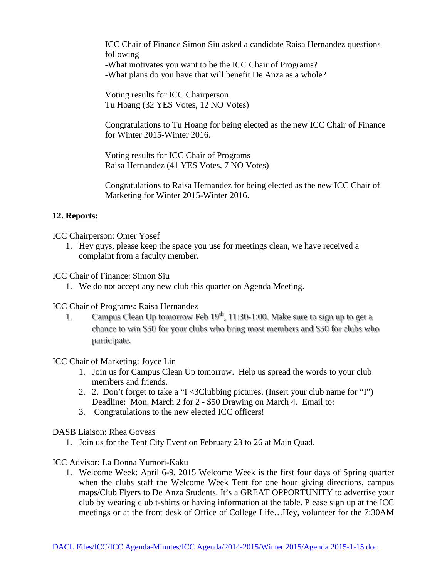ICC Chair of Finance Simon Siu asked a candidate Raisa Hernandez questions following -What motivates you want to be the ICC Chair of Programs? -What plans do you have that will benefit De Anza as a whole?

Voting results for ICC Chairperson Tu Hoang (32 YES Votes, 12 NO Votes)

Congratulations to Tu Hoang for being elected as the new ICC Chair of Finance for Winter 2015-Winter 2016.

Voting results for ICC Chair of Programs Raisa Hernandez (41 YES Votes, 7 NO Votes)

Congratulations to Raisa Hernandez for being elected as the new ICC Chair of Marketing for Winter 2015-Winter 2016.

# **12. Reports:**

ICC Chairperson: Omer Yosef

- 1. Hey guys, please keep the space you use for meetings clean, we have received a complaint from a faculty member.
- ICC Chair of Finance: Simon Siu
	- 1. We do not accept any new club this quarter on Agenda Meeting.

ICC Chair of Programs: Raisa Hernandez

1. Campus Clean Up tomorrow Feb  $19<sup>th</sup>$ , 11:30-1:00. Make sure to sign up to get a chance to win \$50 for your clubs who bring most members and \$50 for clubs who participate.

ICC Chair of Marketing: Joyce Lin

- 1. Join us for Campus Clean Up tomorrow. Help us spread the words to your club members and friends.
- 2. 2. Don't forget to take a "I <3Clubbing pictures. (Insert your club name for "I") Deadline: Mon. March 2 for 2 - \$50 Drawing on March 4. Email to:
- 3. Congratulations to the new elected ICC officers!

DASB Liaison: Rhea Goveas

1. Join us for the Tent City Event on February 23 to 26 at Main Quad.

ICC Advisor: La Donna Yumori-Kaku

1. Welcome Week: April 6-9, 2015 Welcome Week is the first four days of Spring quarter when the clubs staff the Welcome Week Tent for one hour giving directions, campus maps/Club Flyers to De Anza Students. It's a GREAT OPPORTUNITY to advertise your club by wearing club t-shirts or having information at the table. Please sign up at the ICC meetings or at the front desk of Office of College Life…Hey, volunteer for the 7:30AM